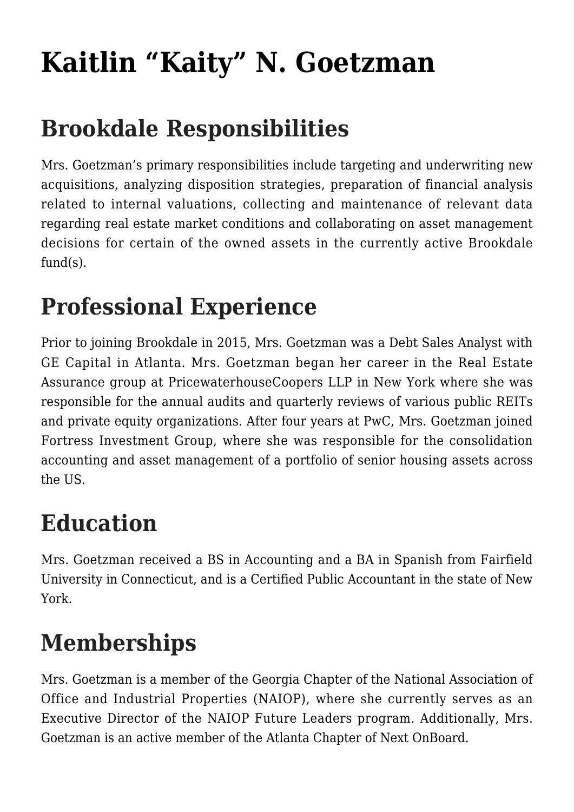# **[Kaitlin "Kaity" N. Goetzman](https://www.brookdalegroup.com/our-team/kaitlin-kaity-noone/)**

# **Brookdale Responsibilities**

Mrs. Goetzman's primary responsibilities include targeting and underwriting new acquisitions, analyzing disposition strategies, preparation of financial analysis related to internal valuations, collecting and maintenance of relevant data regarding real estate market conditions and collaborating on asset management decisions for certain of the owned assets in the currently active Brookdale fund(s).

## **Professional Experience**

Prior to joining Brookdale in 2015, Mrs. Goetzman was a Debt Sales Analyst with GE Capital in Atlanta. Mrs. Goetzman began her career in the Real Estate Assurance group at PricewaterhouseCoopers LLP in New York where she was responsible for the annual audits and quarterly reviews of various public REITs and private equity organizations. After four years at PwC, Mrs. Goetzman joined Fortress Investment Group, where she was responsible for the consolidation accounting and asset management of a portfolio of senior housing assets across the US.

### **Education**

Mrs. Goetzman received a BS in Accounting and a BA in Spanish from Fairfield University in Connecticut, and is a Certified Public Accountant in the state of New York.

### **Memberships**

Mrs. Goetzman is a member of the Georgia Chapter of the National Association of Office and Industrial Properties (NAIOP), where she currently serves as an Executive Director of the NAIOP Future Leaders program. Additionally, Mrs. Goetzman is an active member of the Atlanta Chapter of Next OnBoard.